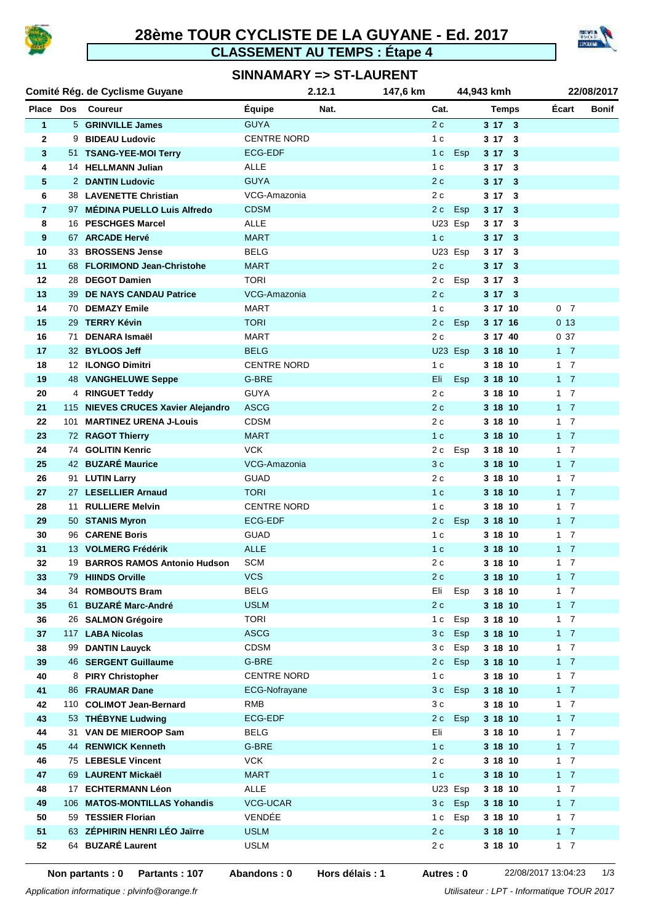

# **28ème TOUR CYCLISTE DE LA GUYANE - Ed. 2017 CLASSEMENT AU TEMPS : Étape 4**



### **SINNAMARY => ST-LAURENT**

| Comité Rég. de Cyclisme Guyane |     | 2.12.1                             |                    | 147,6 km | 44,943 kmh     |                      |         |              | 22/08/2017     |  |
|--------------------------------|-----|------------------------------------|--------------------|----------|----------------|----------------------|---------|--------------|----------------|--|
|                                |     | Place Dos Coureur                  | <b>Équipe</b>      | Nat.     |                | Cat.<br><b>Temps</b> |         | <b>Écart</b> | <b>Bonif</b>   |  |
| $\mathbf{1}$                   |     | 5 GRINVILLE James                  | <b>GUYA</b>        |          | 2c             |                      | 3173    |              |                |  |
| $\mathbf{2}$                   |     | 9 BIDEAU Ludovic                   | <b>CENTRE NORD</b> |          | 1 <sub>c</sub> |                      | 3173    |              |                |  |
| 3                              |     | 51 TSANG-YEE-MOI Terry             | <b>ECG-EDF</b>     |          | 1 <sub>c</sub> | Esp                  | 3173    |              |                |  |
| 4                              |     | 14 HELLMANN Julian                 | <b>ALLE</b>        |          | 1 <sub>c</sub> |                      | 3173    |              |                |  |
| 5                              |     | 2 DANTIN Ludovic                   | <b>GUYA</b>        |          | 2c             |                      | 3173    |              |                |  |
| 6                              |     | 38 LAVENETTE Christian             | VCG-Amazonia       |          | 2 c            |                      | 3173    |              |                |  |
| $\overline{7}$                 |     | 97 MÉDINA PUELLO Luis Alfredo      | <b>CDSM</b>        |          | 2c             | Esp                  | 3173    |              |                |  |
| 8                              |     | 16 PESCHGES Marcel                 | <b>ALLE</b>        |          |                | U23 Esp              | 3173    |              |                |  |
| 9                              |     | 67 ARCADE Hervé                    | <b>MART</b>        |          | 1 <sub>c</sub> |                      | 3173    |              |                |  |
| 10                             |     | 33 BROSSENS Jense                  | <b>BELG</b>        |          |                | U23 Esp              | 3173    |              |                |  |
| 11                             |     | 68 FLORIMOND Jean-Christohe        | <b>MART</b>        |          | 2c             |                      | 3173    |              |                |  |
| 12                             |     | 28 DEGOT Damien                    | <b>TORI</b>        |          | 2 c            | Esp                  | 3173    |              |                |  |
| 13                             |     | 39 DE NAYS CANDAU Patrice          | VCG-Amazonia       |          | 2c             |                      | 3173    |              |                |  |
| 14                             |     | 70 DEMAZY Emile                    | MART               |          | 1 <sub>c</sub> |                      | 3 17 10 |              | 0 <sub>7</sub> |  |
| 15                             |     | 29 TERRY Kévin                     | <b>TORI</b>        |          | 2 c            | Esp                  | 3 17 16 |              | 0.13           |  |
| 16                             | 71  | <b>DENARA Ismaël</b>               | <b>MART</b>        |          | 2c             |                      | 3 17 40 |              | 037            |  |
| 17                             |     | 32 BYLOOS Jeff                     | <b>BELG</b>        |          |                | U23 Esp              | 3 18 10 |              | $1\quad 7$     |  |
| 18                             |     | 12 ILONGO Dimitri                  | <b>CENTRE NORD</b> |          | 1 <sub>c</sub> |                      | 3 18 10 |              | $1\quad 7$     |  |
| 19                             |     | <b>48 VANGHELUWE Seppe</b>         | G-BRE              |          | Eli            | <b>Esp</b>           | 3 18 10 |              | $1\quad 7$     |  |
| 20                             |     | 4 RINGUET Teddy                    | <b>GUYA</b>        |          | 2 c            |                      | 3 18 10 |              | $1\quad 7$     |  |
| 21                             |     | 115 NIEVES CRUCES Xavier Alejandro | <b>ASCG</b>        |          | 2c             |                      | 3 18 10 |              | $1 \quad 7$    |  |
| 22                             | 101 | <b>MARTINEZ URENA J-Louis</b>      | <b>CDSM</b>        |          | 2 c            |                      | 3 18 10 |              | $1\quad 7$     |  |
| 23                             |     | 72 RAGOT Thierry                   | <b>MART</b>        |          | 1 <sub>c</sub> |                      | 3 18 10 |              | $1\quad 7$     |  |
| 24                             |     | 74 GOLITIN Kenric                  | <b>VCK</b>         |          | 2 c            | Esp                  | 3 18 10 |              | $1\quad 7$     |  |
| 25                             |     | 42 BUZARÉ Maurice                  | VCG-Amazonia       |          | 3c             |                      | 3 18 10 |              | $1\quad 7$     |  |
| 26                             |     | 91 LUTIN Larry                     | <b>GUAD</b>        |          | 2 c            |                      | 3 18 10 |              | $1\quad 7$     |  |
| 27                             |     | 27 LESELLIER Arnaud                | <b>TORI</b>        |          | 1 <sub>c</sub> |                      | 3 18 10 |              | $1\quad 7$     |  |
| 28                             |     | 11 RULLIERE Melvin                 | <b>CENTRE NORD</b> |          | 1 <sub>c</sub> |                      | 3 18 10 |              | $1\quad 7$     |  |
| 29                             |     | 50 STANIS Myron                    | <b>ECG-EDF</b>     |          | 2 c            | Esp                  | 3 18 10 |              | $1\quad 7$     |  |
| 30                             |     | 96 CARENE Boris                    | <b>GUAD</b>        |          | 1 <sub>c</sub> |                      | 3 18 10 |              | $1\quad 7$     |  |
| 31                             |     | 13 VOLMERG Frédérik                | <b>ALLE</b>        |          | 1 <sub>c</sub> |                      | 3 18 10 |              | $1\quad 7$     |  |
| 32                             |     | 19 BARROS RAMOS Antonio Hudson     | <b>SCM</b>         |          | 2 c            |                      | 3 18 10 |              | $1 \quad 7$    |  |
| 33                             |     | 79 HIINDS Orville                  | <b>VCS</b>         |          | 2c             |                      | 3 18 10 |              | $1 \quad 7$    |  |
| 34                             |     | 34 ROMBOUTS Bram                   | <b>BELG</b>        |          | Eli            | Esp                  | 3 18 10 |              | $1 \quad 7$    |  |
| 35                             |     | 61 BUZARÉ Marc-André               | <b>USLM</b>        |          | 2c             |                      | 3 18 10 |              | $1 \quad 7$    |  |
| 36                             |     | 26 SALMON Grégoire                 | <b>TORI</b>        |          | 1 <sub>c</sub> | Esp                  | 3 18 10 |              | $1 \quad 7$    |  |
| 37                             |     | 117 LABA Nicolas                   | <b>ASCG</b>        |          | 3 c            | Esp                  | 3 18 10 |              | $1 \quad 7$    |  |
| 38                             | 99  | <b>DANTIN Lauyck</b>               | <b>CDSM</b>        |          | 3 c            | Esp                  | 3 18 10 |              | $1 \quad 7$    |  |
| 39                             |     | <b>46 SERGENT Guillaume</b>        | G-BRE              |          | 2 c            | <b>Esp</b>           | 3 18 10 |              | $1 \quad 7$    |  |
| 40                             |     | 8 PIRY Christopher                 | <b>CENTRE NORD</b> |          | 1 <sub>c</sub> |                      | 3 18 10 |              | $1 \quad 7$    |  |
| 41                             |     | 86 FRAUMAR Dane                    | ECG-Nofrayane      |          | 3 c            | Esp                  | 3 18 10 |              | $1 \quad 7$    |  |
| 42                             |     | 110 COLIMOT Jean-Bernard           | <b>RMB</b>         |          | 3c             |                      | 3 18 10 |              | $1 \quad 7$    |  |
| 43                             |     | 53 THÉBYNE Ludwing                 | <b>ECG-EDF</b>     |          | 2 c            | Esp                  | 3 18 10 |              | $1 \quad 7$    |  |
| 44                             |     | 31 VAN DE MIEROOP Sam              | <b>BELG</b>        |          | Eli            |                      | 3 18 10 |              | $1 \quad 7$    |  |
| 45                             |     | 44 RENWICK Kenneth                 | G-BRE              |          | 1 <sub>c</sub> |                      | 3 18 10 |              | $1 \quad 7$    |  |
| 46                             |     | 75 LEBESLE Vincent                 | <b>VCK</b>         |          | 2c             |                      | 3 18 10 |              | $1 \quad 7$    |  |
| 47                             |     | 69 LAURENT Mickaël                 | <b>MART</b>        |          | 1 <sub>c</sub> |                      | 3 18 10 |              | $1 \quad 7$    |  |
| 48                             |     | 17 ECHTERMANN Léon                 | <b>ALLE</b>        |          |                | U23 Esp              | 3 18 10 |              | $1 \quad 7$    |  |
| 49                             |     | 106 MATOS-MONTILLAS Yohandis       | <b>VCG-UCAR</b>    |          |                | 3c Esp               | 3 18 10 |              | $1 \quad 7$    |  |
| 50                             |     | 59 TESSIER Florian                 | VENDÉE             |          |                | 1 c Esp              | 3 18 10 |              | $1 \quad 7$    |  |
| 51                             |     | 63 ZÉPHIRIN HENRI LÉO Jaïrre       | <b>USLM</b>        |          | 2 c            |                      | 3 18 10 |              | $1 \quad 7$    |  |
| 52                             |     | 64 BUZARÉ Laurent                  | <b>USLM</b>        |          | 2 c            |                      | 3 18 10 |              | $1 \quad 7$    |  |
|                                |     |                                    |                    |          |                |                      |         |              |                |  |

**Hors délais : 1**

**Non partants : 0 Partants : 107 Abandons : 0 Autres : 0** 22/08/2017 13:04:23 1/3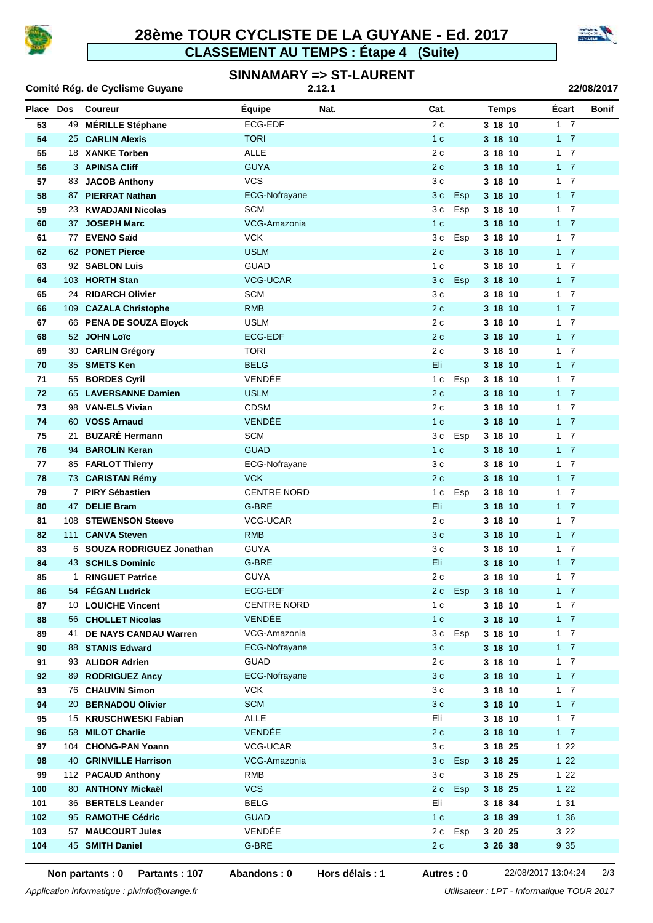

### **CLASSEMENT AU TEMPS : Étape 4 (Suite) 28ème TOUR CYCLISTE DE LA GUYANE - Ed. 2017**



#### **SINNAMARY => ST-LAURENT 2.12.1**

| Comité Rég. de Cyclisme Guyane |    |                            | 2.12.1               |      |                       |              |                |              |
|--------------------------------|----|----------------------------|----------------------|------|-----------------------|--------------|----------------|--------------|
| Place Dos                      |    | Coureur                    | <b>Équipe</b>        | Nat. | Cat.                  | <b>Temps</b> | Écart          | <b>Bonif</b> |
| 53                             |    | 49 MÉRILLE Stéphane        | ECG-EDF              |      | 2c                    | 3 18 10      | 1 <sub>7</sub> |              |
| 54                             |    | 25 CARLIN Alexis           | <b>TORI</b>          |      | 1 <sub>c</sub>        | 3 18 10      | $1 \quad 7$    |              |
| 55                             |    | 18 XANKE Torben            | <b>ALLE</b>          |      | 2c                    | 3 18 10      | $1 \quad 7$    |              |
| 56                             |    | 3 APINSA Cliff             | <b>GUYA</b>          |      | 2c                    | 3 18 10      | $1 \quad 7$    |              |
| 57                             |    | 83 JACOB Anthony           | <b>VCS</b>           |      | 3 c                   | 3 18 10      | $1 \quad 7$    |              |
| 58                             |    | 87 PIERRAT Nathan          | <b>ECG-Nofrayane</b> |      | 3 c<br>Esp            | 3 18 10      | $1 \quad 7$    |              |
| 59                             |    | 23 KWADJANI Nicolas        | <b>SCM</b>           |      | 3 c<br>Esp            | 3 18 10      | $1 \quad 7$    |              |
| 60                             |    | 37 JOSEPH Marc             | VCG-Amazonia         |      | 1 <sub>c</sub>        | 3 18 10      | $1 \quad 7$    |              |
| 61                             |    | 77 EVENO Saïd              | <b>VCK</b>           |      | Esp<br>3 c            | 3 18 10      | $1 \quad 7$    |              |
| 62                             |    | 62 PONET Pierce            | <b>USLM</b>          |      | 2c                    | 3 18 10      | $1 \quad 7$    |              |
| 63                             |    | 92 SABLON Luis             | <b>GUAD</b>          |      | 1 <sub>c</sub>        | 3 18 10      | $1 \quad 7$    |              |
| 64                             |    | 103 HORTH Stan             | <b>VCG-UCAR</b>      |      | 3c<br>Esp             | 3 18 10      | $1 \quad 7$    |              |
| 65                             |    | 24 RIDARCH Olivier         | <b>SCM</b>           |      | 3 c                   | 3 18 10      | $1 \quad 7$    |              |
| 66                             |    | 109 CAZALA Christophe      | <b>RMB</b>           |      | 2c                    | 3 18 10      | $1 \quad 7$    |              |
| 67                             |    | 66 PENA DE SOUZA Eloyck    | <b>USLM</b>          |      | 2 c                   | 3 18 10      | $1 \quad 7$    |              |
| 68                             |    | 52 JOHN Loïc               | <b>ECG-EDF</b>       |      | 2c                    | 3 18 10      | $1 \quad 7$    |              |
| 69                             |    | 30 CARLIN Grégory          | <b>TORI</b>          |      | 2c                    | 3 18 10      | $1 \quad 7$    |              |
| 70                             |    | 35 SMETS Ken               | <b>BELG</b>          |      | Eli                   | 3 18 10      | $1 \quad 7$    |              |
| 71                             |    | 55 BORDES Cyril            | VENDÉE               |      | 1 c<br>Esp            | 3 18 10      | $1 \quad 7$    |              |
| 72                             |    | 65 LAVERSANNE Damien       | <b>USLM</b>          |      | 2c                    | 3 18 10      | $1 \quad 7$    |              |
| 73                             |    | 98 VAN-ELS Vivian          | <b>CDSM</b>          |      | 2c                    | 3 18 10      | $1 \quad 7$    |              |
| 74                             |    | 60 VOSS Arnaud             | <b>VENDÉE</b>        |      | 1 <sub>c</sub>        | 3 18 10      | $1 \quad 7$    |              |
| 75                             | 21 | <b>BUZARÉ Hermann</b>      | <b>SCM</b>           |      | 3 c<br>Esp            | 3 18 10      | $1 \quad 7$    |              |
| 76                             |    | 94 BAROLIN Keran           | <b>GUAD</b>          |      | 1 <sub>c</sub>        | 3 18 10      | $1 \quad 7$    |              |
| 77                             |    | 85 FARLOT Thierry          | ECG-Nofrayane        |      | 3 c                   | 3 18 10      | $1 \quad 7$    |              |
| 78                             |    | 73 CARISTAN Rémy           | <b>VCK</b>           |      | 2c                    | 3 18 10      | $1 \quad 7$    |              |
| 79                             |    | 7 PIRY Sébastien           | <b>CENTRE NORD</b>   |      | 1 <sub>c</sub><br>Esp | 3 18 10      | $1\quad 7$     |              |
| 80                             |    | 47 DELIE Bram              | G-BRE                |      | Eli                   | 3 18 10      | $1 \quad 7$    |              |
| 81                             |    | 108 STEWENSON Steeve       | VCG-UCAR             |      | 2c                    | 3 18 10      | $1 \quad 7$    |              |
| 82                             |    | 111 CANVA Steven           | <b>RMB</b>           |      | 3 c                   | 3 18 10      | $1 \quad 7$    |              |
| 83                             |    | 6 SOUZA RODRIGUEZ Jonathan | <b>GUYA</b>          |      | 3 c                   | 3 18 10      | $1 \quad 7$    |              |
| 84                             |    | 43 SCHILS Dominic          | G-BRE                |      | Eli                   | 3 18 10      | $1 \quad 7$    |              |
| 85                             |    | 1 RINGUET Patrice          | <b>GUYA</b>          |      | 2c                    | 3 18 10      | $1 \quad 7$    |              |
| 86                             |    | 54 FÉGAN Ludrick           | ECG-EDF              |      | 2 c<br><b>Esp</b>     | 3 18 10      | $1 \quad 7$    |              |
| 87                             |    | 10 LOUICHE Vincent         | <b>CENTRE NORD</b>   |      | 1 <sub>c</sub>        | 3 18 10      | $1 \quad 7$    |              |
| 88                             |    | 56 CHOLLET Nicolas         | VENDÉE               |      | 1 <sub>c</sub>        | 3 18 10      | $1 \quad 7$    |              |
| 89                             | 41 | DE NAYS CANDAU Warren      | VCG-Amazonia         |      | 3 c<br>Esp            | 3 18 10      | 1 7            |              |
| 90                             |    | 88 STANIS Edward           | ECG-Nofrayane        |      | 3 <sub>c</sub>        | 3 18 10      | $1 \quad 7$    |              |
| 91                             |    | 93 ALIDOR Adrien           | <b>GUAD</b>          |      | 2 c                   | 3 18 10      | 1 7            |              |
| 92                             |    | 89 RODRIGUEZ Ancy          | <b>ECG-Nofrayane</b> |      | 3 <sub>c</sub>        | 3 18 10      | $1 \quad 7$    |              |
| 93                             |    | 76 CHAUVIN Simon           | <b>VCK</b>           |      | 3c                    | 3 18 10      | $1 \quad 7$    |              |
| 94                             |    | 20 BERNADOU Olivier        | <b>SCM</b>           |      | 3 c                   | 3 18 10      | $1 \quad 7$    |              |
| 95                             |    | 15 KRUSCHWESKI Fabian      | <b>ALLE</b>          |      | Eli                   | 3 18 10      | $1 \quad 7$    |              |
| 96                             |    | 58 MILOT Charlie           | VENDÉE               |      | 2c                    | 3 18 10      | $1 \quad 7$    |              |
| 97                             |    | 104 CHONG-PAN Yoann        | VCG-UCAR             |      | 3c                    | 3 18 25      | 122            |              |
| 98                             |    | 40 GRINVILLE Harrison      | VCG-Amazonia         |      | 3 <sub>c</sub><br>Esp | 3 18 25      | 122            |              |
| 99                             |    | 112 PACAUD Anthony         | RMB                  |      | 3c                    | 3 18 25      | 122            |              |
| 100                            |    | 80 ANTHONY Mickaël         | <b>VCS</b>           |      | 2c<br>Esp             | 3 18 25      | $122$          |              |
| 101                            |    | 36 BERTELS Leander         | <b>BELG</b>          |      | Eli                   | 3 18 34      | 131            |              |
| 102                            |    | 95 RAMOTHE Cédric          | <b>GUAD</b>          |      | 1 <sub>c</sub>        | 3 18 39      | 1 36           |              |
| 103                            |    | 57 MAUCOURT Jules          | VENDÉE               |      | 2 c<br>Esp            | 3 20 25      | 3 2 2          |              |
| 104                            |    | 45 SMITH Daniel            | G-BRE                |      | 2 c                   | 3 26 38      | 9 3 5          |              |

**Hors délais : 1**

**Non partants : 0 Partants : 107 Abandons : 0 Autres : 0** 22/08/2017 13:04:24 2/3

*Application informatique : plvinfo@orange.fr Utilisateur : LPT - Informatique TOUR 2017*